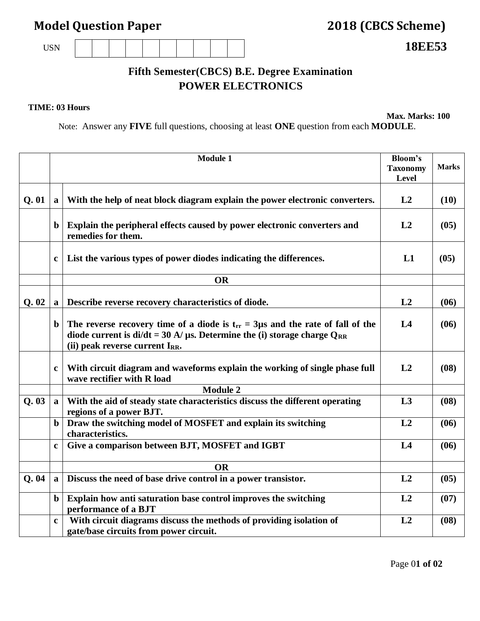## **Model Question Paper 2018 (CBCS Scheme)**

USN **18EE53**

## **Fifth Semester(CBCS) B.E. Degree Examination POWER ELECTRONICS**

## **TIME: 03 Hours**

**Max. Marks: 100**

Note: Answer any **FIVE** full questions, choosing at least **ONE** question from each **MODULE**.

|      |              | <b>Module 1</b>                                                                                                                                                                                                       | <b>Bloom's</b><br><b>Taxonomy</b><br>Level | <b>Marks</b> |
|------|--------------|-----------------------------------------------------------------------------------------------------------------------------------------------------------------------------------------------------------------------|--------------------------------------------|--------------|
| Q.01 | a            | With the help of neat block diagram explain the power electronic converters.                                                                                                                                          | L2                                         | (10)         |
|      | $\mathbf b$  | Explain the peripheral effects caused by power electronic converters and<br>remedies for them.                                                                                                                        | L2                                         | (05)         |
|      | $\mathbf c$  | List the various types of power diodes indicating the differences.                                                                                                                                                    | L1                                         | (05)         |
|      |              | <b>OR</b>                                                                                                                                                                                                             |                                            |              |
| Q.02 | a            | Describe reverse recovery characteristics of diode.                                                                                                                                                                   | L2                                         | (06)         |
|      | $\mathbf b$  | The reverse recovery time of a diode is $t_{rr} = 3\mu s$ and the rate of fall of the<br>diode current is $di/dt = 30$ A/ $\mu$ s. Determine the (i) storage charge Q <sub>RR</sub><br>(ii) peak reverse current IRR. | L4                                         | (06)         |
|      | $\mathbf c$  | With circuit diagram and waveforms explain the working of single phase full<br>wave rectifier with R load                                                                                                             | L2                                         | (08)         |
|      |              | <b>Module 2</b>                                                                                                                                                                                                       |                                            |              |
| Q.03 | $\mathbf{a}$ | With the aid of steady state characteristics discuss the different operating<br>regions of a power BJT.                                                                                                               | L3                                         | (08)         |
|      | $\mathbf b$  | Draw the switching model of MOSFET and explain its switching<br>characteristics.                                                                                                                                      | L2                                         | (06)         |
|      | $\mathbf c$  | Give a comparison between BJT, MOSFET and IGBT                                                                                                                                                                        | L4                                         | (06)         |
|      |              | <b>OR</b>                                                                                                                                                                                                             |                                            |              |
| Q.04 | a            | Discuss the need of base drive control in a power transistor.                                                                                                                                                         | L2                                         | (05)         |
|      | $\mathbf b$  | Explain how anti saturation base control improves the switching<br>performance of a BJT                                                                                                                               | L2                                         | (07)         |
|      | $\mathbf c$  | With circuit diagrams discuss the methods of providing isolation of<br>gate/base circuits from power circuit.                                                                                                         | L2                                         | (08)         |